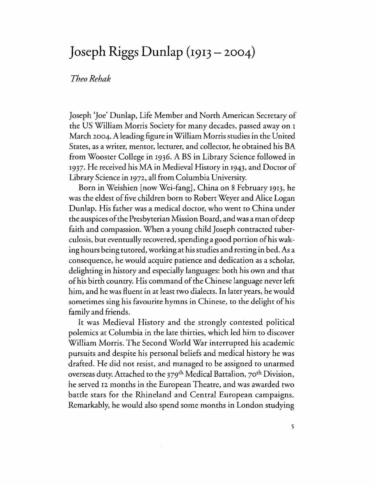## **]oseph Riggs Dunlap (1913 - 2004)**

## *TheoRehak*

Joseph 'Joe' Dunlap, Life Member and North American Secretary of the US William Morris Society for many decades, passed away on <sup>I</sup> March 2004. A leading figure in William Morris studies in the United States, as a writer, mentor, lecturer, and collector, he obtained his BA from Wooster College in 1936. A BS in Library Science followed in 1937. He received his MA in Medieval History in 1943, and Doctor of Library Science in 1972, all from Columbia University.

Born in Weishien [now Wei-fang], China on 8 February 1913, he was the eldest of five children born to Robert Weyer and Alice Logan Dunlap. His father was a medical doctor, who went to China under the auspices of the Presbyterian Mission Board, and was a man of deep faith and compassion. When a young child Joseph contracted tuberculosis, but eventually recovered, spending a good portion of his waking hours being tutored, working at his studies and resting in bed. As a consequence, he would acquire patience and dedication as a scholar, delighting in history and especially languages: both his own and that of his birth country. His command of the Chinese language never left him, and he was fluent in at least two dialects. In later years, he would sometimes sing his favourite hymns in Chinese, to the delight of his family and friends.

It was Medieval History and the strongly contested political polemics at Columbia in the late thirties, which led him to discover William Morris. The Second World War interrupted his academic pursuits and despite his personal beliefs and medical history he was drafted. He did not resist, and managed to be assigned to unarmed overseas duty. Attached to the 379th Medical Battalion, 70th Division, he served 12 months in the European Theatre, and was awarded two battle stars for the Rhineland and Central European campaigns. Remarkably, he would also spend some months in London studying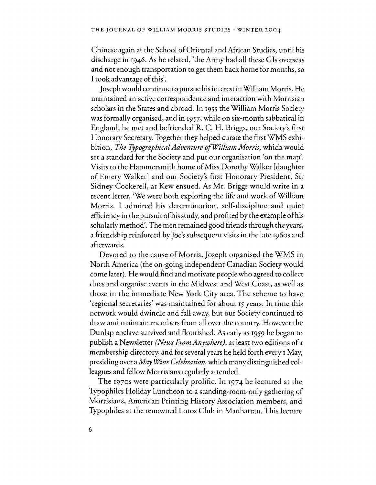Chinese again at the School of Oriental and African Studies, until his discharge in 1946. As he related, 'the Army had all these GIs overseas and not enough transportation to get them back home for months, so I took advantage of this'.

Joseph would continue to pursue his interest in William Morris. He maintained an active correspondence and interaction with Morrisian scholars in the States and abroad. In 1955 the William Morris Society was formally organised, and in 1957, while on six-month sabbatical in England, he met and befriended R. C. H. Briggs, our Society's first Honorary Secretary. Together they helped curate the first WMS exhibition, *The TjpographicalAdventure ofWilliam Morris,* which would set a standard for the Society and put our organisation 'on the map'. Visits to the Hammersmith home of Miss Dorothy Walker [daughter of Emery Walker] and our Society's first Honorary President, Sir Sidney Cockerell, at Kew ensued. As Mr. Briggs would write in a recent letter, 'We were both exploring the life and work of William Morris. I admired his determination, self-discipline and quiet efficiency in the pursuit of his study, and profited by the example of his scholarly method', The men remained good friends through the years, a friendship reinforced by Joe's subsequent visits in the late 1960s and afterwards.

Devoted to the cause of Morris, Joseph organised the WMS in North America (the on-going independent Canadian Society would come later). He would find and motivate people who agreed to collect dues and organise events in the Midwest and West Coast, as well as those in the immediate New York City area. The scheme to have 'regional secretaries' was maintained for about 15 years. In time this network would dwindle and fall away, but our Society continued to draw and maintain members from all over the country. However the Dunlap enclave survived and flourished. As early as 1959 he began to publish a Newsletter *(News From Anywhere),* at least two editions of a membership directory, and for several years he held forth every 1 May, presiding over a *May \Vine Celebration,* which many distinguished colleagues and fellow Morrisians regularly attended.

The 1970s were particularly prolific. In 1974 he lectured at the Typophiles Holiday Luncheon to a standing-room-only gathering of Morrisians, American Printing History Association members, and Typophiles at the renowned Lotos Club in Manhattan. This lecture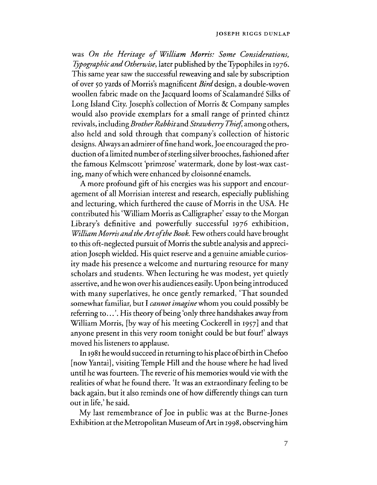## JOSEPH RIGGS DUNLAP

was *On the Heritage of William Morris: Some Considerations, TJpographic and Otherwise,* later published by the Typophiles in 1976. This same year saw the successful reweaving and sale by subscription of over 50 yards of Morris's magnificent *Bird* design, a double-woven woollen fabric made on the Jacquard looms of Scalamandre Silks of Long Island City. Joseph's collection of Morris & Company samples would also provide exemplars for a small range of printed chintz revivals, including *Brother Rabbitand Strawberry Thief,* among others, also held and sold through that company's collection of historic designs. Always an admirer offine hand work, Joe encouraged the production of a limited number of sterling silver brooches, fashioned after the famous Kelmscott 'primrose' watermark, done by lost-wax casting, many of which were enhanced by cloisonné enamels.

A more profound gift of his energies was his support and encouragement of all Morrisian interest and research, especially publishing and lecturing, which furthered the cause of Morris in the USA. He contributed his 'William Morris as Calligrapher' essay to the Morgan Library's definitive and powerfully *successful* 1976 exhibition, *William Morris and the Art of the Book.* Few others could have brought to this oft-neglected pursuit of Morris the subtle analysis and appreciation Joseph wielded. His quiet reserve and a genuine amiable curiosity made his presence a welcome and nurturing resource for many scholars and students. When lecturing he was modest, yet quietly assertive, and he won over his audiences easily. Upon being introduced with many superlatives, he once gently remarked, 'That sounded somewhat familiar, but I *cannot imagine* whom you could possibly be referring to ... '. His theory of being 'only three handshakes away from William Morris, [by way of his meeting Cockerell in 1957] and that anyone present in this very room tonight could be but four!' always moved his listeners to applause.

In 1981 he would succeed in returning to his place of birth in Chefoo [now Yantai], visiting Temple Hill and the house where he had lived until he was fourteen. The reverie of his memories would vie with the realities of what he found there. 'It was an extraordinary feeling to be back again, but it also reminds one of how differently things can turn out in life,' he said.

My last remembrance of Joe in public was at the Burne-Jones Exhibition at the Metropolitan Museum of Art in 1998, observing him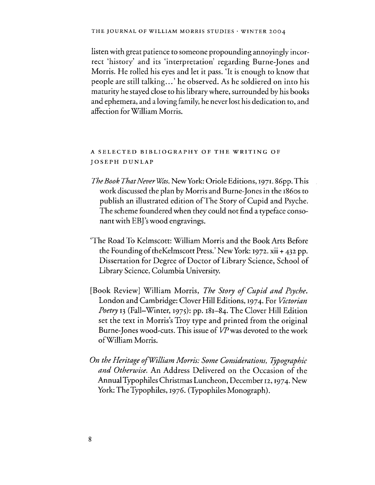listen with great patience to someone propounding annoyingly incorrect 'history' and its 'interpretation' regarding Burne-Jones and Morris. He rolled his eyes and let it pass. 'It is enough to know that people are still talking ... ' he observed. As he soldiered on into his maturity he stayed close to his library where, surrounded by his books and ephemera, and a loving family, he never lost his dedication to, and affection for William Morris.

## A SELECTED BIBLIOGRAPHY OF THE WRITING OF JOSEPH DUNLAP

- *The Book That Never Was. New York: Oriole Editions, 1971. 86pp. This* work discussed the plan by Morris and Bume-Jones in the I860s to publish an illustrated edition of The Story of Cupid and Psyche. The scheme foundered when they could not find a typeface consonant with EBl's wood engravings.
- 'The Road To Kelmscott: William Morris and the Book Arts Before the Founding of theKelmscott Press.' New York: 1972. xii + 432 pp. Dissertation for Degree of Doctor of Library Science, School of Library Science, Columbia University.
- [Book Review) William Morris, *The Story of Cupid and Psyche.*  London and Cambridge: Clover Hill Editions, 1974. For *Victorian Poetry* 13 (Fall-Winter, 1975): pp. 181-84. The Clover Hill Edition set the text in Morris's Troy type and printed from the original Burne-Jones wood-cuts. This issue of  $VP$  was devoted to the work ofWilliam Morris.
- **On the Heritage of William Morris: Some Considerations, Typographic** *and Otherwise.* An Address Delivered on the Occasion of the Annual Typophiles Christmas Luncheon, December 12,1974. New York: The Typophiles, 1976. (Typophiles Monograph).